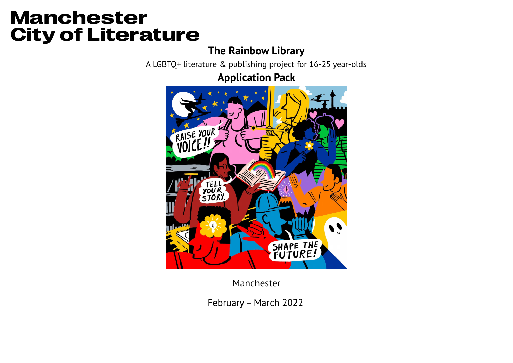# **Manchester City of Literature**

### **The Rainbow Library**

A LGBTQ+ literature & publishing project for 16-25 year-olds

### **Application Pack**



Manchester

February– March 2022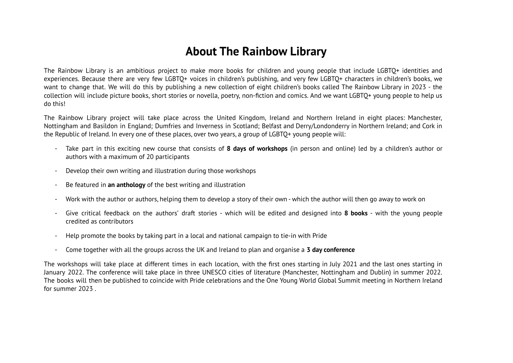### **About The Rainbow Library**

The Rainbow Library is an ambitious project to make more books for children and young people that include LGBTQ+ identities and experiences. Because there are very few LGBTQ+ voices in children's publishing, and very few LGBTQ+ characters in children's books, we want to change that. We will do this by publishing a new collection of eight children's books called The Rainbow Library in 2023 - the collection will include picture books, short stories or novella, poetry, non-fiction and comics. And we want LGBTQ+ young people to help us do this!

The Rainbow Library project will take place across the United Kingdom, Ireland and Northern Ireland in eight places: Manchester, Nottingham and Basildon in England; Dumfries and Inverness in Scotland; Belfast and Derry/Londonderry in Northern Ireland; and Cork in the Republic of Ireland. In every one of these places, over two years, a group of LGBTQ+ young people will:

- Take part in this exciting new course that consists of **8 days of workshops** (in person and online) led by a children's author or authors with a maximum of 20 participants
- Develop their own writing and illustration during those workshops
- Be featured in **an anthology** of the best writing and illustration
- Work with the author or authors, helping them to develop a story of their own which the author will then go away to work on
- Give critical feedback on the authors' draft stories which will be edited and designed into **8 books** with the young people credited as contributors
- Help promote the books by taking part in a local and national campaign to tie-in with Pride
- Come together with all the groups across the UK and Ireland to plan and organise a **3 day conference**

The workshops will take place at different times in each location, with the first ones starting in July 2021 and the last ones starting in January 2022. The conference will take place in three UNESCO cities of literature (Manchester, Nottingham and Dublin) in summer 2022. The books will then be published to coincide with Pride celebrations and the One Young World Global Summit meeting in Northern Ireland for summer 2023 .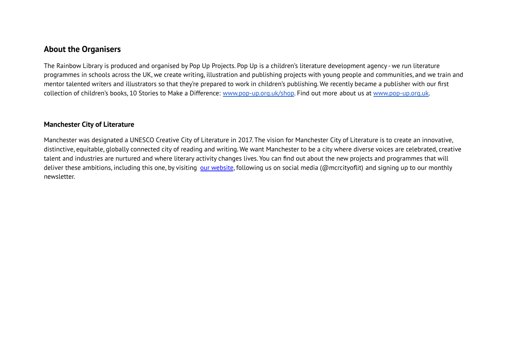#### **About the Organisers**

The Rainbow Library is produced and organised by Pop Up Projects. Pop Up is a children's literature development agency - we run literature programmes in schools across the UK, we create writing, illustration and publishing projects with young people and communities, and we train and mentor talented writers and illustrators so that they're prepared to work in children's publishing. We recently became a publisher with our first collection of children's books, 10 Stories to Make a Difference: [www.pop-up.org.uk/shop](http://www.pop-up.org.uk/shop). Find out more about us at [www.pop-up.org.uk.](http://www.pop-up.org.uk)

#### **Manchester City of Literature**

Manchester was designated a UNESCO Creative City of Literature in 2017. The vision for Manchester City of Literature is to create an innovative, distinctive, equitable, globally connected city of reading and writing. We want Manchester to be a city where diverse voices are celebrated, creative talent and industries are nurtured and where literary activity changes lives. You can find out about the new projects and programmes that will deliver these ambitions, including this one, by visiting our [website](https://www.manchestercityofliterature.com/), following us on social media (@mcrcityoflit) and signing up to our monthly newsletter.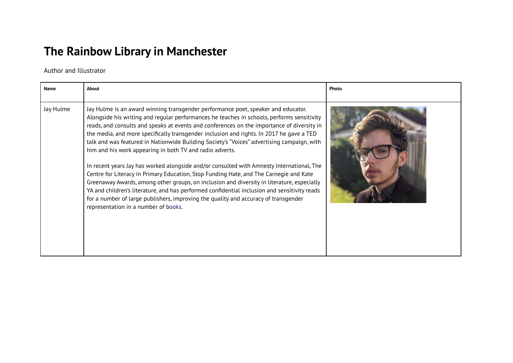## **The Rainbow Library in Manchester**

Author and Illustrator

| Name      | <b>About</b>                                                                                                                                                                                                                                                                                                                                                                                                                                                                                                                                                                                                                                                                                                                                                                                                                                                                                                                                                                                                                                            | Photo |
|-----------|---------------------------------------------------------------------------------------------------------------------------------------------------------------------------------------------------------------------------------------------------------------------------------------------------------------------------------------------------------------------------------------------------------------------------------------------------------------------------------------------------------------------------------------------------------------------------------------------------------------------------------------------------------------------------------------------------------------------------------------------------------------------------------------------------------------------------------------------------------------------------------------------------------------------------------------------------------------------------------------------------------------------------------------------------------|-------|
| Jay Hulme | Jay Hulme is an award winning transgender performance poet, speaker and educator.<br>Alongside his writing and regular performances he teaches in schools, performs sensitivity<br>reads, and consults and speaks at events and conferences on the importance of diversity in<br>the media, and more specifically transgender inclusion and rights. In 2017 he gave a TED<br>talk and was featured in Nationwide Building Society's "Voices" advertising campaign, with<br>him and his work appearing in both TV and radio adverts.<br>In recent years Jay has worked alongside and/or consulted with Amnesty International, The<br>Centre for Literacy in Primary Education, Stop Funding Hate, and The Carnegie and Kate<br>Greenaway Awards, among other groups, on inclusion and diversity in literature, especially<br>YA and children's literature, and has performed confidential inclusion and sensitivity reads<br>for a number of large publishers, improving the quality and accuracy of transgender<br>representation in a number of books. |       |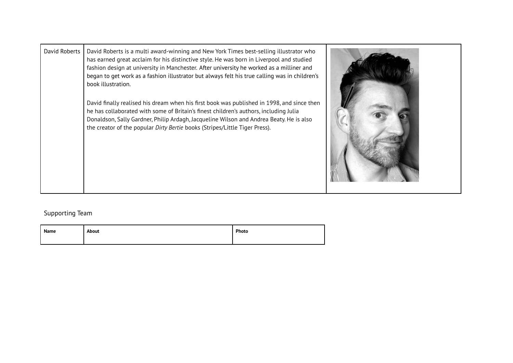| David Roberts | David Roberts is a multi award-winning and New York Times best-selling illustrator who<br>has earned great acclaim for his distinctive style. He was born in Liverpool and studied<br>fashion design at university in Manchester. After university he worked as a milliner and<br>began to get work as a fashion illustrator but always felt his true calling was in children's<br>book illustration.<br>David finally realised his dream when his first book was published in 1998, and since then<br>he has collaborated with some of Britain's finest children's authors, including Julia<br>Donaldson, Sally Gardner, Philip Ardagh, Jacqueline Wilson and Andrea Beaty. He is also<br>the creator of the popular Dirty Bertie books (Stripes/Little Tiger Press). |  |
|---------------|------------------------------------------------------------------------------------------------------------------------------------------------------------------------------------------------------------------------------------------------------------------------------------------------------------------------------------------------------------------------------------------------------------------------------------------------------------------------------------------------------------------------------------------------------------------------------------------------------------------------------------------------------------------------------------------------------------------------------------------------------------------------|--|
|---------------|------------------------------------------------------------------------------------------------------------------------------------------------------------------------------------------------------------------------------------------------------------------------------------------------------------------------------------------------------------------------------------------------------------------------------------------------------------------------------------------------------------------------------------------------------------------------------------------------------------------------------------------------------------------------------------------------------------------------------------------------------------------------|--|

### Supporting Team

| Name | About | Photo |
|------|-------|-------|
|      |       |       |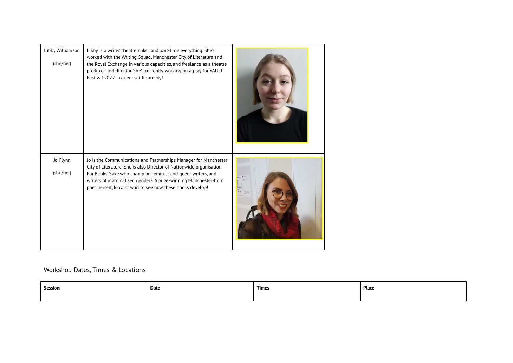| Libby Williamson<br>(she/her) | Libby is a writer, theatremaker and part-time everything. She's<br>worked with the Writing Squad, Manchester City of Literature and<br>the Royal Exchange in various capacities, and freelance as a theatre<br>producer and director. She's currently working on a play for VAULT<br>Festival 2022- a queer sci-fi comedy!                 |  |
|-------------------------------|--------------------------------------------------------------------------------------------------------------------------------------------------------------------------------------------------------------------------------------------------------------------------------------------------------------------------------------------|--|
| Jo Flynn<br>(she/her)         | Jo is the Communications and Partnerships Manager for Manchester<br>City of Literature. She is also Director of Nationwide organisation<br>For Books' Sake who champion feminist and queer writers, and<br>writers of marginalised genders. A prize-winning Manchester-born<br>poet herself, Jo can't wait to see how these books develop! |  |

#### Workshop Dates, Times & Locations

| Session | Date | <b>Times</b> | Place |
|---------|------|--------------|-------|
|         |      |              |       |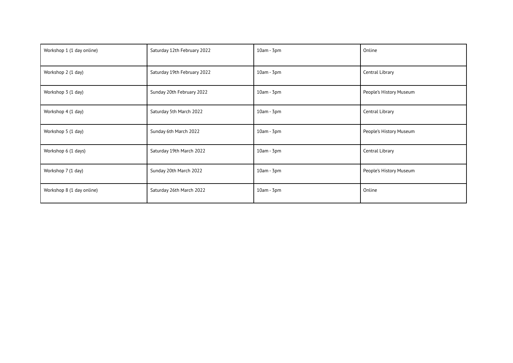| Workshop 1 (1 day online) | Saturday 12th February 2022 | $10am - 3pm$ | Online                  |
|---------------------------|-----------------------------|--------------|-------------------------|
| Workshop 2 (1 day)        | Saturday 19th February 2022 | $10am - 3pm$ | Central Library         |
| Workshop 3 (1 day)        | Sunday 20th February 2022   | $10am - 3pm$ | People's History Museum |
| Workshop 4 (1 day)        | Saturday 5th March 2022     | $10am - 3pm$ | Central Library         |
| Workshop 5 (1 day)        | Sunday 6th March 2022       | $10am - 3pm$ | People's History Museum |
| Workshop 6 (1 days)       | Saturday 19th March 2022    | $10am - 3pm$ | Central Library         |
| Workshop 7 (1 day)        | Sunday 20th March 2022      | $10am - 3pm$ | People's History Museum |
| Workshop 8 (1 day online) | Saturday 26th March 2022    | $10am - 3pm$ | Online                  |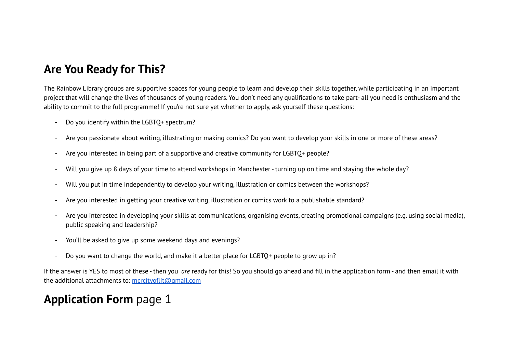### **Are You Ready for This?**

The Rainbow Library groups are supportive spaces for young people to learn and develop their skills together, while participating in an important project that will change the lives of thousands of young readers. You don't need any qualifications to take part- all you need is enthusiasm and the ability to commit to the full programme! If you're not sure yet whether to apply, ask yourself these questions:

- Do you identify within the LGBTQ+ spectrum?
- Are you passionate about writing, illustrating or making comics? Do you want to develop your skills in one or more of these areas?
- Are you interested in being part of a supportive and creative community for LGBTO+ people?
- Will you give up 8 days of your time to attend workshops in Manchester turning up on time and staying the whole day?
- Will you put in time independently to develop your writing, illustration or comics between the workshops?
- Are you interested in getting your creative writing, illustration or comics work to a publishable standard?
- Are you interested in developing your skills at communications, organising events, creating promotional campaigns (e.g. using social media), public speaking and leadership?
- You'll be asked to give up some weekend days and evenings?
- Do you want to change the world, and make it a better place for LGBTQ+ people to grow up in?

If the answer is YES to most of these - then you *are* ready for this! So you should go ahead and fill in the application form - and then email it with the additional attachments to: [mcrcityoflit@gmail.com](mailto:mcrcityoflit@gmail.com)

## **Application Form** page 1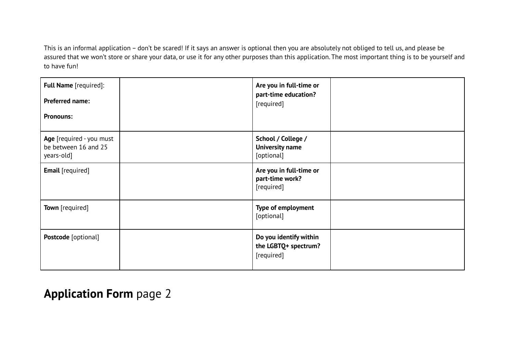This is an informal application – don't be scared! If it says an answer is optional then you are absolutely not obliged to tell us, and please be assured that we won't store or share your data, or use it for any other purposes than this application. The most important thing is to be yourself and to have fun!

| Full Name [required]:<br>Preferred name:<br><b>Pronouns:</b>   | Are you in full-time or<br>part-time education?<br>[required] |  |
|----------------------------------------------------------------|---------------------------------------------------------------|--|
| Age [required - you must<br>be between 16 and 25<br>years-old] | School / College /<br><b>University name</b><br>[optional]    |  |
| <b>Email</b> [required]                                        | Are you in full-time or<br>part-time work?<br>[required]      |  |
| Town [required]                                                | Type of employment<br>[optional]                              |  |
| Postcode [optional]                                            | Do you identify within<br>the LGBTQ+ spectrum?<br>[required]  |  |

### **Application Form** page 2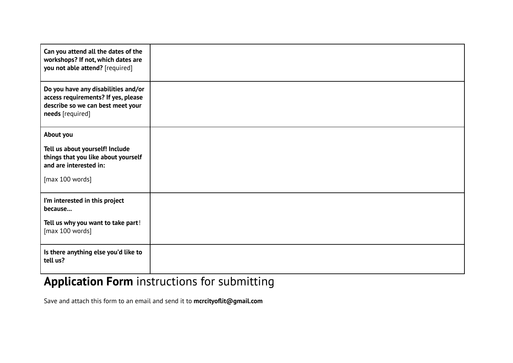| Can you attend all the dates of the<br>workshops? If not, which dates are<br>you not able attend? [required]                        |  |
|-------------------------------------------------------------------------------------------------------------------------------------|--|
| Do you have any disabilities and/or<br>access requirements? If yes, please<br>describe so we can best meet your<br>needs [required] |  |
| About you                                                                                                                           |  |
| Tell us about yourself! Include<br>things that you like about yourself<br>and are interested in:<br>[max 100 words]                 |  |
| I'm interested in this project<br>because                                                                                           |  |
| Tell us why you want to take part!<br>[max 100 words]                                                                               |  |
| Is there anything else you'd like to<br>tell us?                                                                                    |  |

## **Application Form** instructions for submitting

Save and attach this form to an email and send it to **mcrcityoflit@gmail.com**